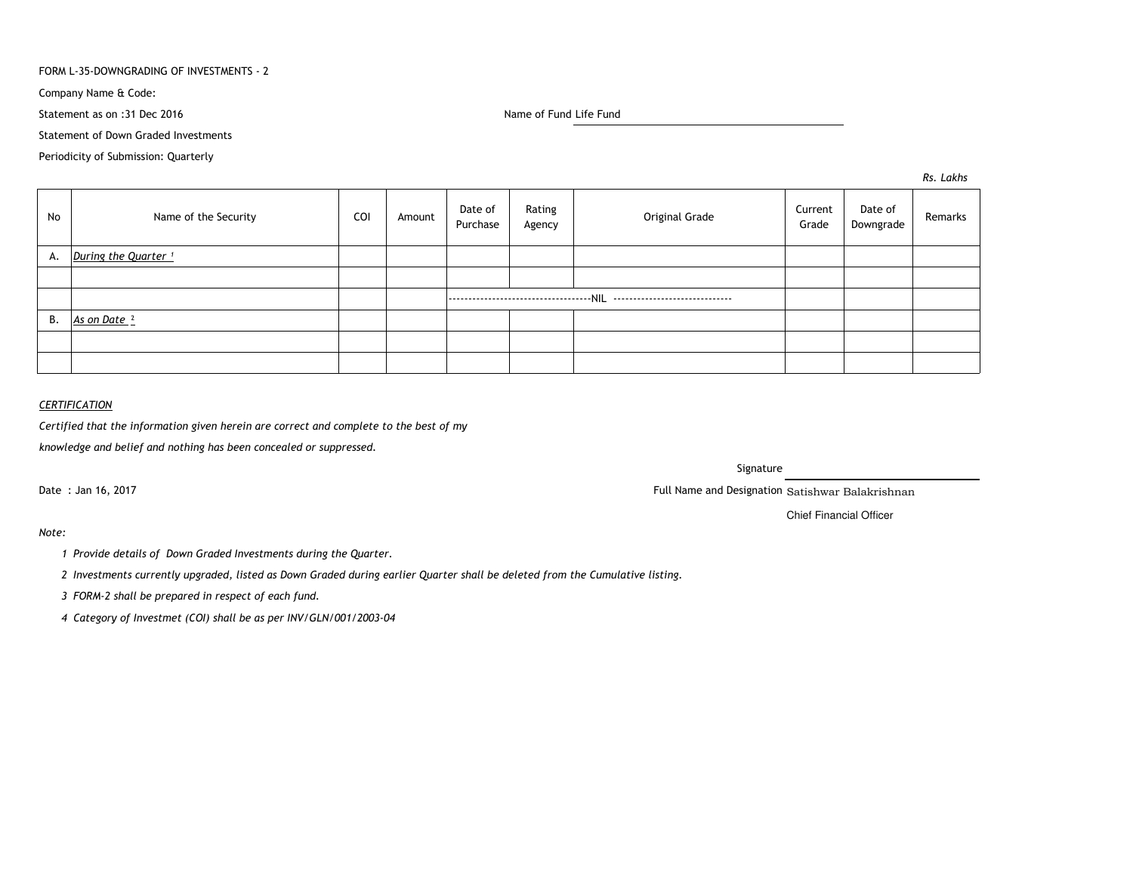#### FORM L-35-DOWNGRADING OF INVESTMENTS - 2

Company Name & Code:

Statement as on :31 Dec 2016

Name of Fund Life Fund

Statement of Down Graded Investments

Periodicity of Submission: Quarterly

*Rs. Lakhs*

| No | Name of the Security            | COI | Amount | Date of<br>Purchase | Rating<br>Agency | Original Grade | Current<br>Grade | Date of<br>Downgrade | Remarks |
|----|---------------------------------|-----|--------|---------------------|------------------|----------------|------------------|----------------------|---------|
| А. | During the Quarter <sup>1</sup> |     |        |                     |                  |                |                  |                      |         |
|    |                                 |     |        |                     |                  |                |                  |                      |         |
|    |                                 |     |        |                     |                  |                |                  |                      |         |
| В. | As on Date <sup>2</sup>         |     |        |                     |                  |                |                  |                      |         |
|    |                                 |     |        |                     |                  |                |                  |                      |         |
|    |                                 |     |        |                     |                  |                |                  |                      |         |

## *CERTIFICATION*

*Certified that the information given herein are correct and complete to the best of my*

*knowledge and belief and nothing has been concealed or suppressed.*

Date : Jan 16, 2017

Signature

Full Name and Designation Satishwar Balakrishnan

Chief Financial Officer

*Note:*

*<sup>1</sup> Provide details of Down Graded Investments during the Quarter.* 

*<sup>2</sup> Investments currently upgraded, listed as Down Graded during earlier Quarter shall be deleted from the Cumulative listing.*

*<sup>3</sup> FORM-2 shall be prepared in respect of each fund.*

*<sup>4</sup> Category of Investmet (COI) shall be as per INV/GLN/001/2003-04*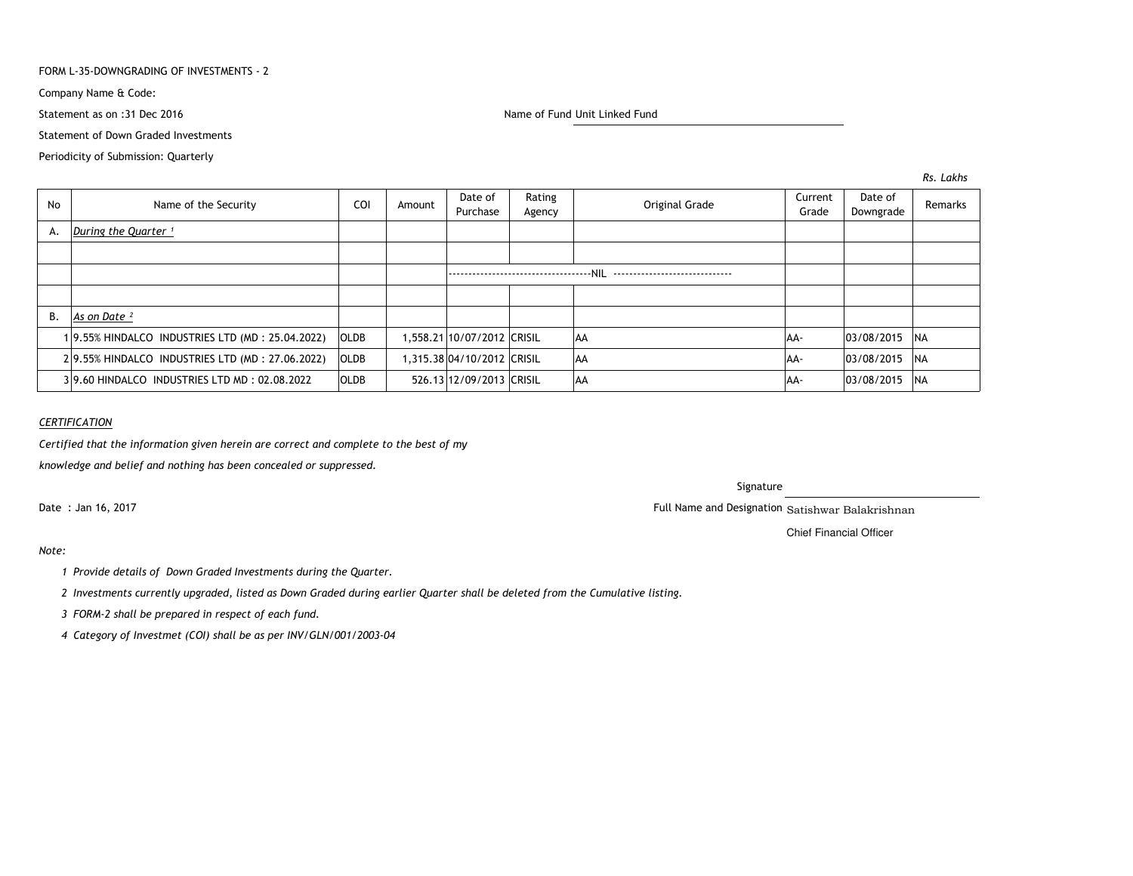#### FORM L-35-DOWNGRADING OF INVESTMENTS - 2

Company Name & Code:

Statement as on :31 Dec 2016

Name of Fund Unit Linked Fund

Statement of Down Graded Investments

Periodicity of Submission: Quarterly

*Rs. Lakhs*

| No | Name of the Security                            | <b>COI</b>  | Amount | Date of<br>Purchase        | Rating<br>Agency | Original Grade | Current<br>Grade | Date of<br>Downgrade | Remarks    |
|----|-------------------------------------------------|-------------|--------|----------------------------|------------------|----------------|------------------|----------------------|------------|
| А. | During the Quarter <sup>1</sup>                 |             |        |                            |                  |                |                  |                      |            |
|    |                                                 |             |        |                            |                  |                |                  |                      |            |
|    |                                                 |             |        |                            |                  |                |                  |                      |            |
|    |                                                 |             |        |                            |                  |                |                  |                      |            |
| В. | As on Date <sup>2</sup>                         |             |        |                            |                  |                |                  |                      |            |
|    | 19.55% HINDALCO INDUSTRIES LTD (MD: 25.04.2022) | <b>OLDB</b> |        | 1,558.21 10/07/2012 CRISIL |                  | AA             | AA-              | 03/08/2015           | <b>INA</b> |
|    | 29.55% HINDALCO INDUSTRIES LTD (MD: 27.06.2022) | <b>OLDB</b> |        | 1,315.38 04/10/2012 CRISIL |                  | <b>AA</b>      | AA-              | 03/08/2015           | <b>NA</b>  |
|    | 39.60 HINDALCO INDUSTRIES LTD MD: 02.08.2022    | <b>OLDB</b> |        | 526.13 12/09/2013 CRISIL   |                  | <b>AA</b>      | AA-              | 03/08/2015           | <b>NA</b>  |

## *CERTIFICATION*

*Certified that the information given herein are correct and complete to the best of my*

*knowledge and belief and nothing has been concealed or suppressed.*

Date : Jan 16, 2017

#### Signature

Full Name and Designation Satishwar Balakrishnan

Chief Financial Officer

# *Note:*

- *<sup>1</sup> Provide details of Down Graded Investments during the Quarter.*
- *<sup>2</sup> Investments currently upgraded, listed as Down Graded during earlier Quarter shall be deleted from the Cumulative listing.*
- *<sup>3</sup> FORM-2 shall be prepared in respect of each fund.*
- *<sup>4</sup> Category of Investmet (COI) shall be as per INV/GLN/001/2003-04*